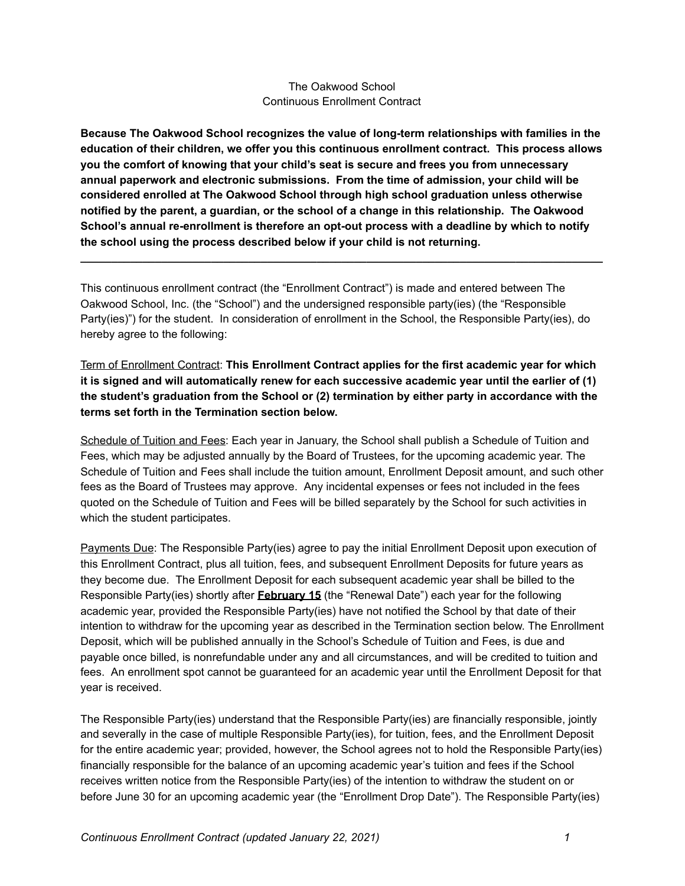## The Oakwood School Continuous Enrollment Contract

**Because The Oakwood School recognizes the value of long-term relationships with families in the education of their children, we offer you this continuous enrollment contract. This process allows you the comfort of knowing that your child's seat is secure and frees you from unnecessary annual paperwork and electronic submissions. From the time of admission, your child will be considered enrolled at The Oakwood School through high school graduation unless otherwise notified by the parent, a guardian, or the school of a change in this relationship. The Oakwood School's annual re-enrollment is therefore an opt-out process with a deadline by which to notify the school using the process described below if your child is not returning.**

**\_\_\_\_\_\_\_\_\_\_\_\_\_\_\_\_\_\_\_\_\_\_\_\_\_\_\_\_\_\_\_\_\_\_\_\_\_\_\_\_\_\_\_\_\_\_\_\_\_\_\_\_\_\_\_\_\_\_\_\_\_\_\_\_\_\_\_\_\_\_\_\_\_\_\_\_\_\_\_\_\_\_\_\_**

This continuous enrollment contract (the "Enrollment Contract") is made and entered between The Oakwood School, Inc. (the "School") and the undersigned responsible party(ies) (the "Responsible Party(ies)") for the student. In consideration of enrollment in the School, the Responsible Party(ies), do hereby agree to the following:

## Term of Enrollment Contract: **This Enrollment Contract applies for the first academic year for which it is signed and will automatically renew for each successive academic year until the earlier of (1) the student's graduation from the School or (2) termination by either party in accordance with the terms set forth in the Termination section below.**

Schedule of Tuition and Fees: Each year in January, the School shall publish a Schedule of Tuition and Fees, which may be adjusted annually by the Board of Trustees, for the upcoming academic year. The Schedule of Tuition and Fees shall include the tuition amount, Enrollment Deposit amount, and such other fees as the Board of Trustees may approve. Any incidental expenses or fees not included in the fees quoted on the Schedule of Tuition and Fees will be billed separately by the School for such activities in which the student participates.

Payments Due: The Responsible Party(ies) agree to pay the initial Enrollment Deposit upon execution of this Enrollment Contract, plus all tuition, fees, and subsequent Enrollment Deposits for future years as they become due. The Enrollment Deposit for each subsequent academic year shall be billed to the Responsible Party(ies) shortly after **February 15** (the "Renewal Date") each year for the following academic year, provided the Responsible Party(ies) have not notified the School by that date of their intention to withdraw for the upcoming year as described in the Termination section below. The Enrollment Deposit, which will be published annually in the School's Schedule of Tuition and Fees, is due and payable once billed, is nonrefundable under any and all circumstances, and will be credited to tuition and fees. An enrollment spot cannot be guaranteed for an academic year until the Enrollment Deposit for that year is received.

The Responsible Party(ies) understand that the Responsible Party(ies) are financially responsible, jointly and severally in the case of multiple Responsible Party(ies), for tuition, fees, and the Enrollment Deposit for the entire academic year; provided, however, the School agrees not to hold the Responsible Party(ies) financially responsible for the balance of an upcoming academic year's tuition and fees if the School receives written notice from the Responsible Party(ies) of the intention to withdraw the student on or before June 30 for an upcoming academic year (the "Enrollment Drop Date"). The Responsible Party(ies)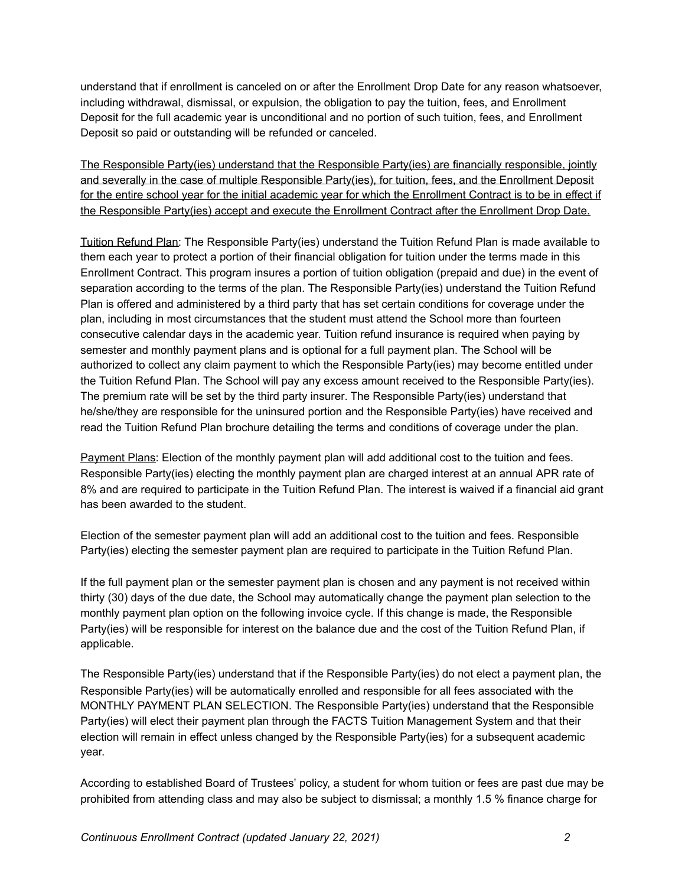understand that if enrollment is canceled on or after the Enrollment Drop Date for any reason whatsoever, including withdrawal, dismissal, or expulsion, the obligation to pay the tuition, fees, and Enrollment Deposit for the full academic year is unconditional and no portion of such tuition, fees, and Enrollment Deposit so paid or outstanding will be refunded or canceled.

The Responsible Party(ies) understand that the Responsible Party(ies) are financially responsible, jointly and severally in the case of multiple Responsible Party(ies), for tuition, fees, and the Enrollment Deposit for the entire school year for the initial academic year for which the Enrollment Contract is to be in effect if the Responsible Party(ies) accept and execute the Enrollment Contract after the Enrollment Drop Date.

Tuition Refund Plan: The Responsible Party(ies) understand the Tuition Refund Plan is made available to them each year to protect a portion of their financial obligation for tuition under the terms made in this Enrollment Contract. This program insures a portion of tuition obligation (prepaid and due) in the event of separation according to the terms of the plan. The Responsible Party(ies) understand the Tuition Refund Plan is offered and administered by a third party that has set certain conditions for coverage under the plan, including in most circumstances that the student must attend the School more than fourteen consecutive calendar days in the academic year. Tuition refund insurance is required when paying by semester and monthly payment plans and is optional for a full payment plan. The School will be authorized to collect any claim payment to which the Responsible Party(ies) may become entitled under the Tuition Refund Plan. The School will pay any excess amount received to the Responsible Party(ies). The premium rate will be set by the third party insurer. The Responsible Party(ies) understand that he/she/they are responsible for the uninsured portion and the Responsible Party(ies) have received and read the Tuition Refund Plan brochure detailing the terms and conditions of coverage under the plan.

Payment Plans: Election of the monthly payment plan will add additional cost to the tuition and fees. Responsible Party(ies) electing the monthly payment plan are charged interest at an annual APR rate of 8% and are required to participate in the Tuition Refund Plan. The interest is waived if a financial aid grant has been awarded to the student.

Election of the semester payment plan will add an additional cost to the tuition and fees. Responsible Party(ies) electing the semester payment plan are required to participate in the Tuition Refund Plan.

If the full payment plan or the semester payment plan is chosen and any payment is not received within thirty (30) days of the due date, the School may automatically change the payment plan selection to the monthly payment plan option on the following invoice cycle. If this change is made, the Responsible Party(ies) will be responsible for interest on the balance due and the cost of the Tuition Refund Plan, if applicable.

The Responsible Party(ies) understand that if the Responsible Party(ies) do not elect a payment plan, the Responsible Party(ies) will be automatically enrolled and responsible for all fees associated with the MONTHLY PAYMENT PLAN SELECTION. The Responsible Party(ies) understand that the Responsible Party(ies) will elect their payment plan through the FACTS Tuition Management System and that their election will remain in effect unless changed by the Responsible Party(ies) for a subsequent academic year.

According to established Board of Trustees' policy, a student for whom tuition or fees are past due may be prohibited from attending class and may also be subject to dismissal; a monthly 1.5 % finance charge for